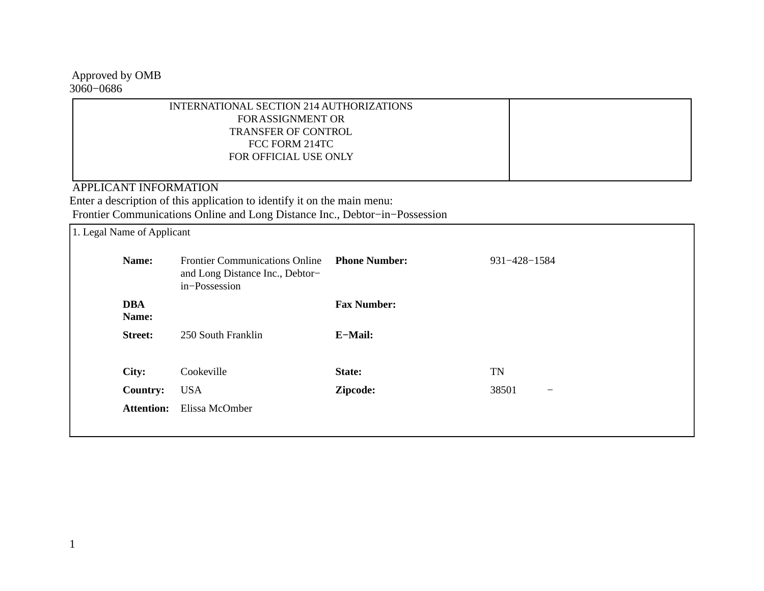Approved by OMB 3060−0686

| INTERNATIONAL SECTION 214 AUTHORIZATIONS |  |
|------------------------------------------|--|
| <b>FORASSIGNMENT OR</b>                  |  |
| <b>TRANSFER OF CONTROL</b>               |  |
| FCC FORM 214TC                           |  |
| FOR OFFICIAL USE ONLY                    |  |
|                                          |  |
|                                          |  |

APPLICANT INFORMATION

 Enter a description of this application to identify it on the main menu: Frontier Communications Online and Long Distance Inc., Debtor−in−Possession

| 1. Legal Name of Applicant |                     |                                                                                           |                      |                            |
|----------------------------|---------------------|-------------------------------------------------------------------------------------------|----------------------|----------------------------|
|                            | Name:               | <b>Frontier Communications Online</b><br>and Long Distance Inc., Debtor-<br>in-Possession | <b>Phone Number:</b> | 931-428-1584               |
|                            | <b>DBA</b><br>Name: |                                                                                           | <b>Fax Number:</b>   |                            |
|                            | <b>Street:</b>      | 250 South Franklin                                                                        | E-Mail:              |                            |
|                            | City:               | Cookeville                                                                                | State:               | TN                         |
|                            | <b>Country:</b>     | <b>USA</b>                                                                                | Zipcode:             | 38501<br>$\qquad \qquad -$ |
|                            | <b>Attention:</b>   | Elissa McOmber                                                                            |                      |                            |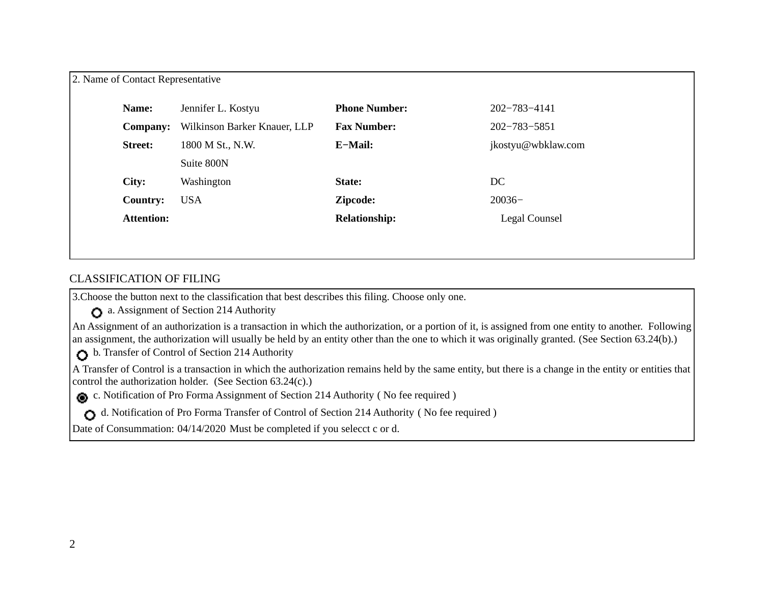| Name:             | Jennifer L. Kostyu           | <b>Phone Number:</b> | 202-783-4141       |
|-------------------|------------------------------|----------------------|--------------------|
| <b>Company:</b>   | Wilkinson Barker Knauer, LLP | <b>Fax Number:</b>   | 202-783-5851       |
| <b>Street:</b>    | 1800 M St., N.W.             | E-Mail:              | jkostyu@wbklaw.com |
|                   | Suite 800N                   |                      |                    |
| City:             | Washington                   | State:               | DC                 |
| <b>Country:</b>   | <b>USA</b>                   | Zipcode:             | $20036-$           |
| <b>Attention:</b> |                              | <b>Relationship:</b> | Legal Counsel      |

## CLASSIFICATION OF FILING

3.Choose the button next to the classification that best describes this filing. Choose only one.

 a. Assignment of Section 214 Authority 

An Assignment of an authorization is a transaction in which the authorization, or a portion of it, is assigned from one entity to another. Following an assignment, the authorization will usually be held by an entity other than the one to which it was originally granted. (See Section 63.24(b).) 

b. Transfer of Control of Section 214 Authority

A Transfer of Control is a transaction in which the authorization remains held by the same entity, but there is a change in the entity or entities that control the authorization holder. (See Section 63.24(c).) 

c. Notification of Pro Forma Assignment of Section 214 Authority ( No fee required ) 

d. Notification of Pro Forma Transfer of Control of Section 214 Authority ( No fee required ) 

Date of Consummation: 04/14/2020 Must be completed if you selecct c or d.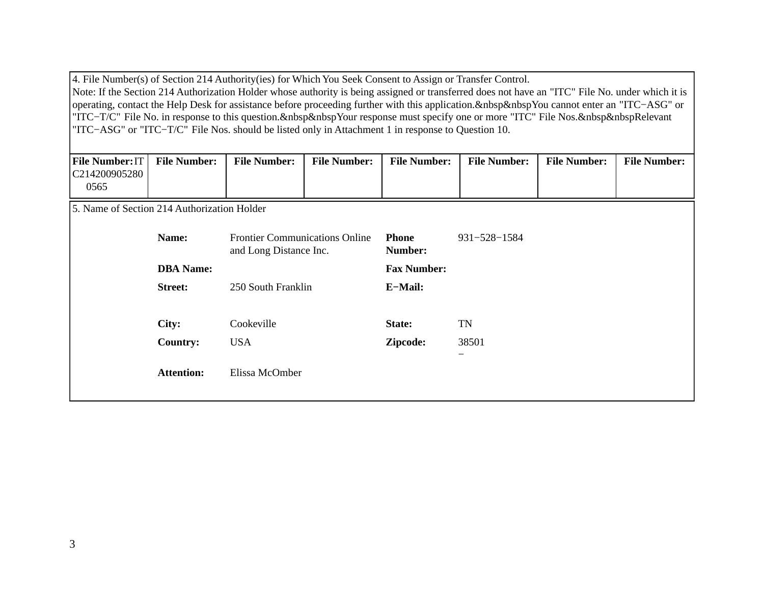4. File Number(s) of Section 214 Authority(ies) for Which You Seek Consent to Assign or Transfer Control. Note: If the Section 214 Authorization Holder whose authority is being assigned or transferred does not have an "ITC" File No. under which it is operating, contact the Help Desk for assistance before proceeding further with this application.&nbsp&nbspYou cannot enter an "ITC−ASG" or "ITC-T/C" File No. in response to this question.&nbsp&nbspYour response must specify one or more "ITC" File Nos.&nbsp&nbspRelevant "ITC−ASG" or "ITC−T/C" File Nos. should be listed only in Attachment 1 in response to Question 10.

| <b>File Number: IT</b> | <b>File Number:</b> | <b>File Number:</b> | <b>File Number:</b> | <b>File Number:</b> | <b>File Number:</b> | <b>File Number:</b> | <b>File Number:</b> |
|------------------------|---------------------|---------------------|---------------------|---------------------|---------------------|---------------------|---------------------|
| C214200905280          |                     |                     |                     |                     |                     |                     |                     |
| 0565                   |                     |                     |                     |                     |                     |                     |                     |

5. Name of Section 214 Authorization Holder

| Name:             | <b>Frontier Communications Online</b><br>and Long Distance Inc. | <b>Phone</b><br>Number: | 931-528-1584             |
|-------------------|-----------------------------------------------------------------|-------------------------|--------------------------|
| <b>DBA</b> Name:  |                                                                 | <b>Fax Number:</b>      |                          |
| <b>Street:</b>    | 250 South Franklin                                              | E-Mail:                 |                          |
|                   |                                                                 |                         |                          |
| City:             | Cookeville                                                      | State:                  | <b>TN</b>                |
| <b>Country:</b>   | <b>USA</b>                                                      | Zipcode:                | 38501                    |
| <b>Attention:</b> | Elissa McOmber                                                  |                         | $\overline{\phantom{0}}$ |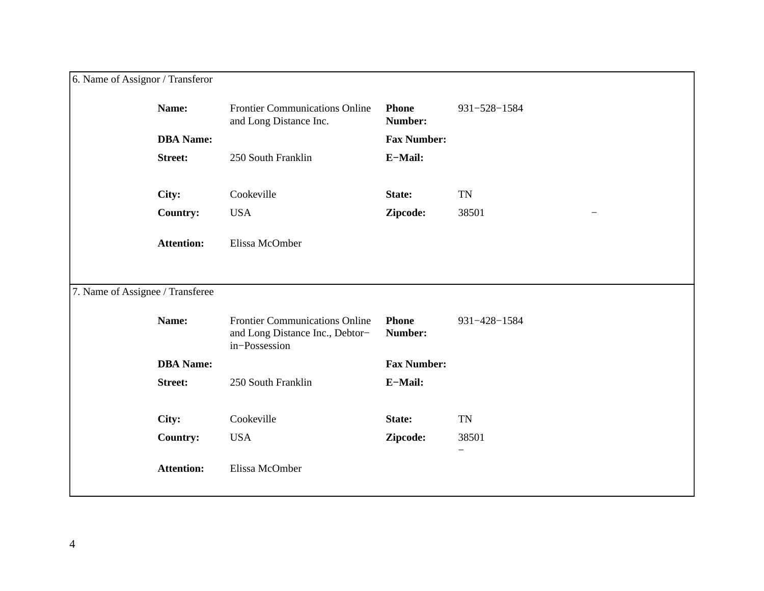| 6. Name of Assignor / Transferor |                   |                                                                                           |                         |                          |
|----------------------------------|-------------------|-------------------------------------------------------------------------------------------|-------------------------|--------------------------|
|                                  | Name:             | <b>Frontier Communications Online</b><br>and Long Distance Inc.                           | <b>Phone</b><br>Number: | 931-528-1584             |
|                                  | <b>DBA</b> Name:  |                                                                                           | <b>Fax Number:</b>      |                          |
|                                  | <b>Street:</b>    | 250 South Franklin                                                                        | E-Mail:                 |                          |
|                                  | City:             | Cookeville                                                                                | State:                  | <b>TN</b>                |
|                                  | <b>Country:</b>   | <b>USA</b>                                                                                | Zipcode:                | 38501                    |
|                                  | <b>Attention:</b> | Elissa McOmber                                                                            |                         |                          |
| 7. Name of Assignee / Transferee |                   |                                                                                           |                         |                          |
|                                  | Name:             | <b>Frontier Communications Online</b><br>and Long Distance Inc., Debtor-<br>in-Possession | <b>Phone</b><br>Number: | 931-428-1584             |
|                                  | <b>DBA</b> Name:  |                                                                                           | <b>Fax Number:</b>      |                          |
|                                  | <b>Street:</b>    | 250 South Franklin                                                                        | E-Mail:                 |                          |
|                                  | City:             | Cookeville                                                                                | State:                  | <b>TN</b>                |
|                                  | <b>Country:</b>   | <b>USA</b>                                                                                | Zipcode:                | 38501                    |
|                                  | <b>Attention:</b> | Elissa McOmber                                                                            |                         | $\overline{\phantom{0}}$ |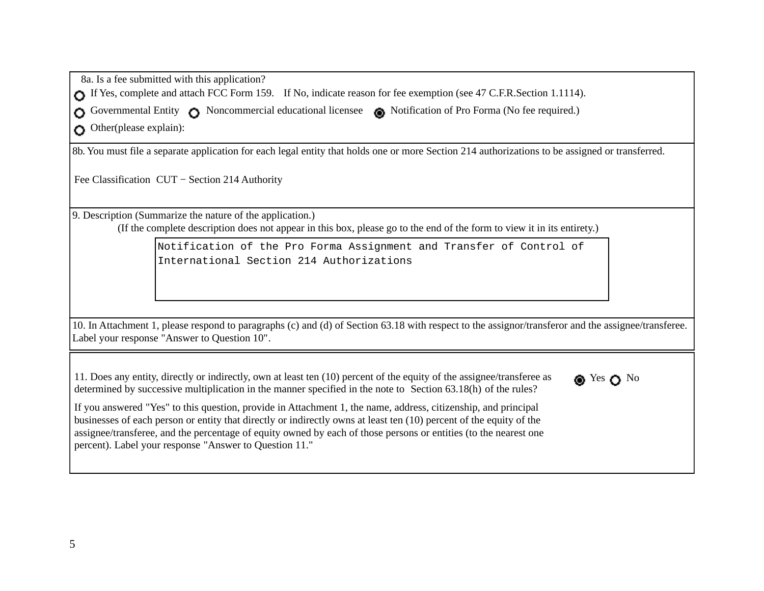8a. Is a fee submitted with this application? 

If Yes, complete and attach FCC Form 159. If No, indicate reason for fee exemption (see 47 C.F.R.Section 1.1114).

Governmental Entity C Noncommercial educational licensee and Notification of Pro Forma (No fee required.)

 Other(please explain): C)

8b. You must file a separate application for each legal entity that holds one or more Section 214 authorizations to be assigned or transferred.

Fee Classification CUT − Section 214 Authority 

9. Description (Summarize the nature of the application.)

 (If the complete description does not appear in this box, please go to the end of the form to view it in its entirety.)

Notification of the Pro Forma Assignment and Transfer of Control of International Section 214 Authorizations

10. In Attachment 1, please respond to paragraphs (c) and (d) of Section 63.18 with respect to the assignor/transferor and the assignee/transferee. Label your response "Answer to Question 10". 

11. Does any entity, directly or indirectly, own at least ten (10) percent of the equity of the assignee/transferee as determined by successive multiplication in the manner specified in the note to Section 63.18(h) of the rules?



If you answered "Yes" to this question, provide in Attachment 1, the name, address, citizenship, and principal businesses of each person or entity that directly or indirectly owns at least ten (10) percent of the equity of the assignee/transferee, and the percentage of equity owned by each of those persons or entities (to the nearest one percent). Label your response "Answer to Question 11."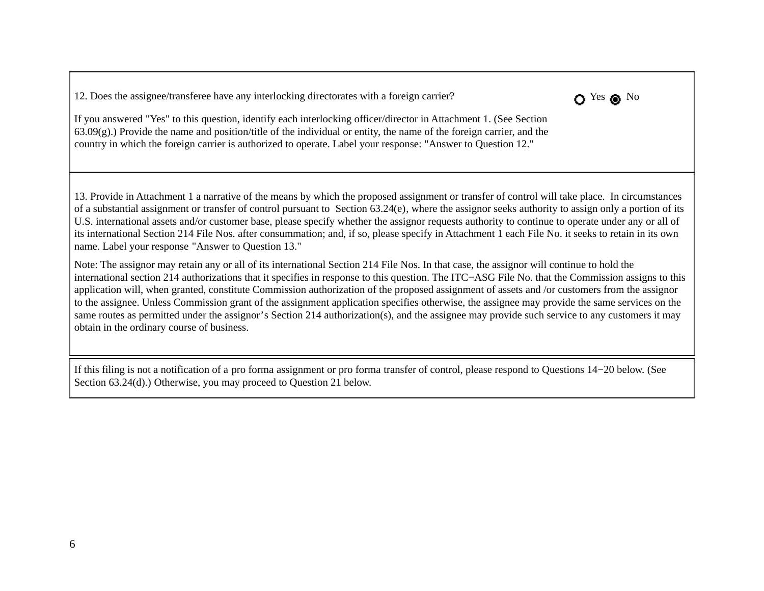12. Does the assignee/transferee have any interlocking directorates with a foreign carrier? Yes No



If you answered "Yes" to this question, identify each interlocking officer/director in Attachment 1. (See Section 63.09(g).) Provide the name and position/title of the individual or entity, the name of the foreign carrier, and the country in which the foreign carrier is authorized to operate. Label your response: "Answer to Question 12." 

13. Provide in Attachment 1 a narrative of the means by which the proposed assignment or transfer of control will take place. In circumstances of a substantial assignment or transfer of control pursuant to Section 63.24(e), where the assignor seeks authority to assign only a portion of its U.S. international assets and/or customer base, please specify whether the assignor requests authority to continue to operate under any or all of its international Section 214 File Nos. after consummation; and, if so, please specify in Attachment 1 each File No. it seeks to retain in its own name. Label your response "Answer to Question 13." 

Note: The assignor may retain any or all of its international Section 214 File Nos. In that case, the assignor will continue to hold the international section 214 authorizations that it specifies in response to this question. The ITC−ASG File No. that the Commission assigns to this application will, when granted, constitute Commission authorization of the proposed assignment of assets and /or customers from the assignor to the assignee. Unless Commission grant of the assignment application specifies otherwise, the assignee may provide the same services on the same routes as permitted under the assignor's Section 214 authorization(s), and the assignee may provide such service to any customers it may obtain in the ordinary course of business. 

If this filing is not a notification of a pro forma assignment or pro forma transfer of control, please respond to Questions 14−20 below. (See Section 63.24(d).) Otherwise, you may proceed to Ouestion 21 below.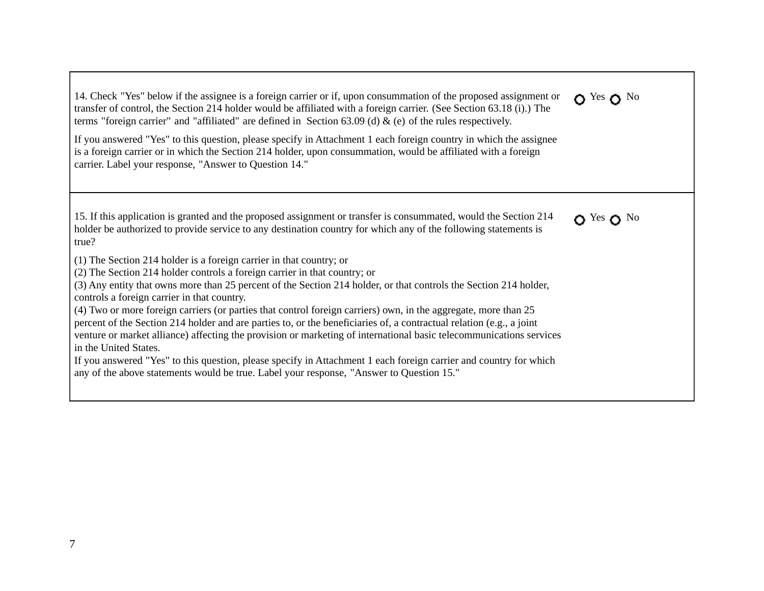14. Check "Yes" below if the assignee is a foreign carrier or if, upon consummation of the proposed assignment or transfer of control, the Section 214 holder would be affiliated with a foreign carrier. (See Section 63.18 (i).) The terms "foreign carrier" and "affiliated" are defined in Section 63.09 (d)  $\&$  (e) of the rules respectively.  $\Omega$  Yes  $\Omega$  No

n Yes n No

If you answered "Yes" to this question, please specify in Attachment 1 each foreign country in which the assignee is a foreign carrier or in which the Section 214 holder, upon consummation, would be affiliated with a foreign carrier. Label your response, "Answer to Question 14." 

15. If this application is granted and the proposed assignment or transfer is consummated, would the Section 214 holder be authorized to provide service to any destination country for which any of the following statements is true? 

(1) The Section 214 holder is a foreign carrier in that country; or

(2) The Section 214 holder controls a foreign carrier in that country; or

(3) Any entity that owns more than 25 percent of the Section 214 holder, or that controls the Section 214 holder, controls a foreign carrier in that country.

(4) Two or more foreign carriers (or parties that control foreign carriers) own, in the aggregate, more than 25 percent of the Section 214 holder and are parties to, or the beneficiaries of, a contractual relation (e.g., a joint venture or market alliance) affecting the provision or marketing of international basic telecommunications services in the United States.

If you answered "Yes" to this question, please specify in Attachment 1 each foreign carrier and country for which any of the above statements would be true. Label your response, "Answer to Question 15."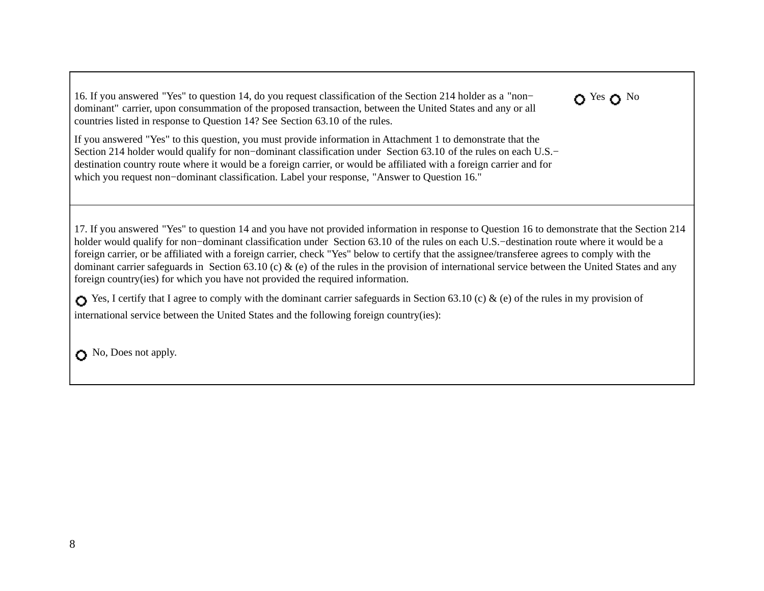16. If you answered "Yes" to question 14, do you request classification of the Section 214 holder as a "non− dominant" carrier, upon consummation of the proposed transaction, between the United States and any or all countries listed in response to Question 14? See Section 63.10 of the rules.

If you answered "Yes" to this question, you must provide information in Attachment 1 to demonstrate that the Section 214 holder would qualify for non-dominant classification under Section 63.10 of the rules on each U.S.− destination country route where it would be a foreign carrier, or would be affiliated with a foreign carrier and for which you request non−dominant classification. Label your response, "Answer to Question 16." 

17. If you answered "Yes" to question 14 and you have not provided information in response to Question 16 to demonstrate that the Section 214 holder would qualify for non−dominant classification under Section 63.10 of the rules on each U.S.−destination route where it would be a foreign carrier, or be affiliated with a foreign carrier, check "Yes" below to certify that the assignee/transferee agrees to comply with the dominant carrier safeguards in Section 63.10 (c)  $\&$  (e) of the rules in the provision of international service between the United States and any foreign country(ies) for which you have not provided the required information. 

 $\Omega$  Yes  $\Omega$  No

Yes, I certify that I agree to comply with the dominant carrier safeguards in Section 63.10 (c)  $\&$  (e) of the rules in my provision of international service between the United States and the following foreign country(ies): 

No, Does not apply.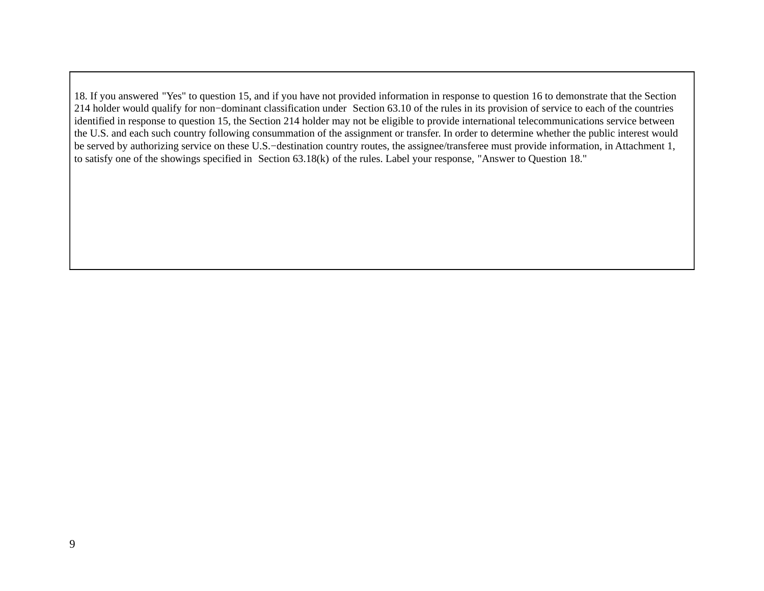18. If you answered "Yes" to question 15, and if you have not provided information in response to question 16 to demonstrate that the Section 214 holder would qualify for non−dominant classification under Section 63.10 of the rules in its provision of service to each of the countries identified in response to question 15, the Section 214 holder may not be eligible to provide international telecommunications service between the U.S. and each such country following consummation of the assignment or transfer. In order to determine whether the public interest would be served by authorizing service on these U.S.−destination country routes, the assignee/transferee must provide information, in Attachment 1, to satisfy one of the showings specified in Section 63.18(k) of the rules. Label your response, "Answer to Question 18."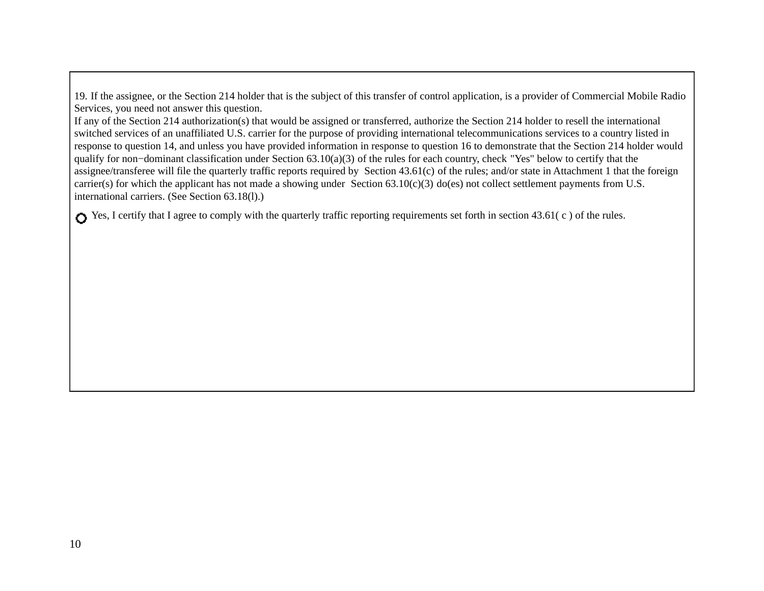19. If the assignee, or the Section 214 holder that is the subject of this transfer of control application, is a provider of Commercial Mobile Radio Services, you need not answer this question.

If any of the Section 214 authorization(s) that would be assigned or transferred, authorize the Section 214 holder to resell the international switched services of an unaffiliated U.S. carrier for the purpose of providing international telecommunications services to a country listed in response to question 14, and unless you have provided information in response to question 16 to demonstrate that the Section 214 holder would qualify for non–dominant classification under Section 63.10(a)(3) of the rules for each country, check "Yes" below to certify that the assignee/transferee will file the quarterly traffic reports required by Section 43.61(c) of the rules; and/or state in Attachment 1 that the foreign carrier(s) for which the applicant has not made a showing under Section 63.10(c)(3) do(es) not collect settlement payments from U.S. international carriers. (See Section 63.18(l).) 

Yes, I certify that I agree to comply with the quarterly traffic reporting requirements set forth in section 43.61(c) of the rules.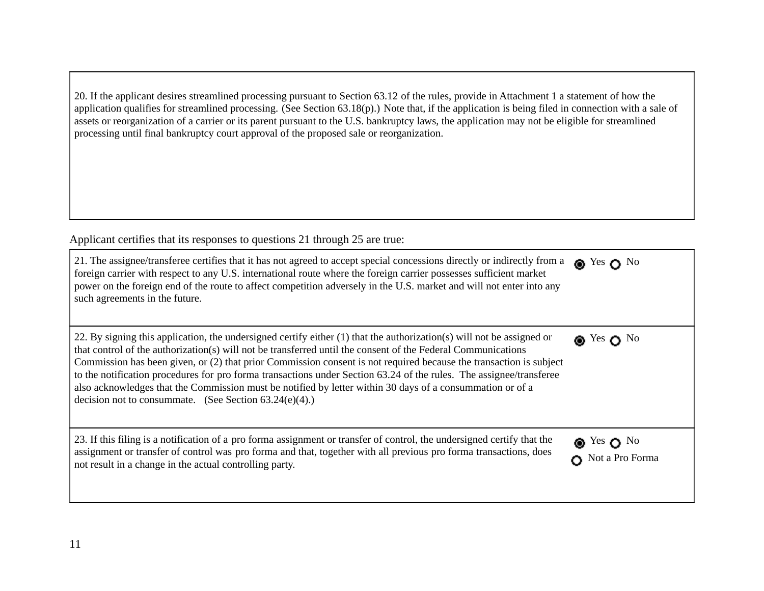20. If the applicant desires streamlined processing pursuant to Section 63.12 of the rules, provide in Attachment 1 a statement of how the application qualifies for streamlined processing. (See Section 63.18(p).) Note that, if the application is being filed in connection with a sale of assets or reorganization of a carrier or its parent pursuant to the U.S. bankruptcy laws, the application may not be eligible for streamlined processing until final bankruptcy court approval of the proposed sale or reorganization. 

Applicant certifies that its responses to questions 21 through 25 are true:

| 21. The assignee/transferee certifies that it has not agreed to accept special concessions directly or indirectly from a<br>foreign carrier with respect to any U.S. international route where the foreign carrier possesses sufficient market<br>power on the foreign end of the route to affect competition adversely in the U.S. market and will not enter into any<br>such agreements in the future.                                                                                                                                                                                                                                                     | $\bullet$ Yes $\bullet$ No                              |
|--------------------------------------------------------------------------------------------------------------------------------------------------------------------------------------------------------------------------------------------------------------------------------------------------------------------------------------------------------------------------------------------------------------------------------------------------------------------------------------------------------------------------------------------------------------------------------------------------------------------------------------------------------------|---------------------------------------------------------|
| 22. By signing this application, the undersigned certify either (1) that the authorization(s) will not be assigned or<br>that control of the authorization(s) will not be transferred until the consent of the Federal Communications<br>Commission has been given, or (2) that prior Commission consent is not required because the transaction is subject<br>to the notification procedures for pro forma transactions under Section 63.24 of the rules. The assignee/transferee<br>also acknowledges that the Commission must be notified by letter within 30 days of a consummation or of a<br>decision not to consummate. (See Section $63.24(e)(4)$ .) | $\bullet$ Yes $\bullet$ No                              |
| 23. If this filing is a notification of a pro forma assignment or transfer of control, the undersigned certify that the<br>assignment or transfer of control was pro forma and that, together with all previous pro forma transactions, does<br>not result in a change in the actual controlling party.                                                                                                                                                                                                                                                                                                                                                      | $\bullet$ Yes $\bullet$ No<br>$\bullet$ Not a Pro Forma |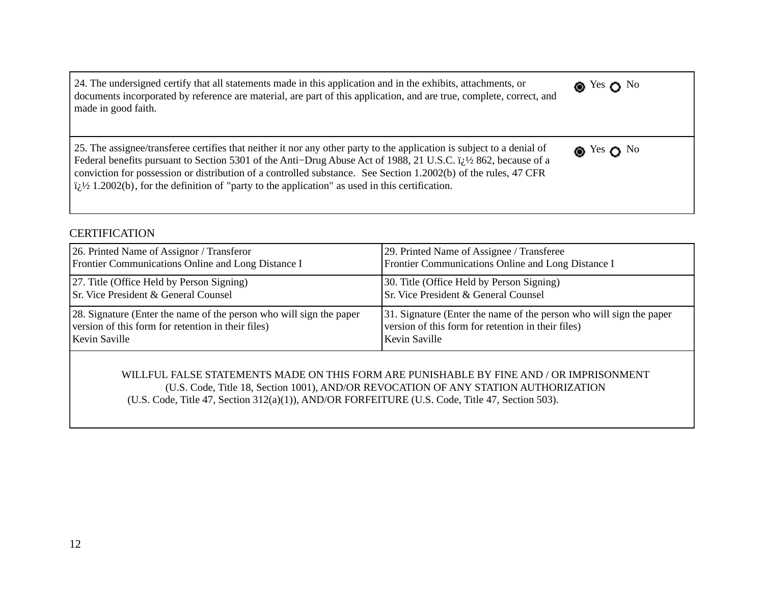24. The undersigned certify that all statements made in this application and in the exhibits, attachments, or documents incorporated by reference are material, are part of this application, and are true, complete, correct, and made in good faith. **®** Yes ∩ No

25. The assignee/transferee certifies that neither it nor any other party to the application is subject to a denial of Federal benefits pursuant to Section 5301 of the Anti–Drug Abuse Act of 1988, 21 U.S.C. i<sub>i</sub>.1⁄2 862, because of a conviction for possession or distribution of a controlled substance. See Section 1.2002(b) of the rules, 47 CFR  $i/2$  1.2002(b), for the definition of "party to the application" as used in this certification.

## **CERTIFICATION**

| 26. Printed Name of Assignor / Transferor                            | [29. Printed Name of Assignee / Transferee                           |
|----------------------------------------------------------------------|----------------------------------------------------------------------|
| Frontier Communications Online and Long Distance I                   | Frontier Communications Online and Long Distance I                   |
| [27. Title (Office Held by Person Signing)                           | [30. Title (Office Held by Person Signing)                           |
| <b>Sr.</b> Vice President & General Counsel                          | Sr. Vice President & General Counsel                                 |
| [28. Signature (Enter the name of the person who will sign the paper | [31. Signature (Enter the name of the person who will sign the paper |
| version of this form for retention in their files)                   | version of this form for retention in their files)                   |
| <b>Kevin Saville</b>                                                 | Kevin Saville                                                        |

**®** Yes ∩ No

WILLFUL FALSE STATEMENTS MADE ON THIS FORM ARE PUNISHABLE BY FINE AND / OR IMPRISONMENT (U.S. Code, Title 18, Section 1001), AND/OR REVOCATION OF ANY STATION AUTHORIZATION (U.S. Code, Title 47, Section 312(a)(1)), AND/OR FORFEITURE (U.S. Code, Title 47, Section 503).